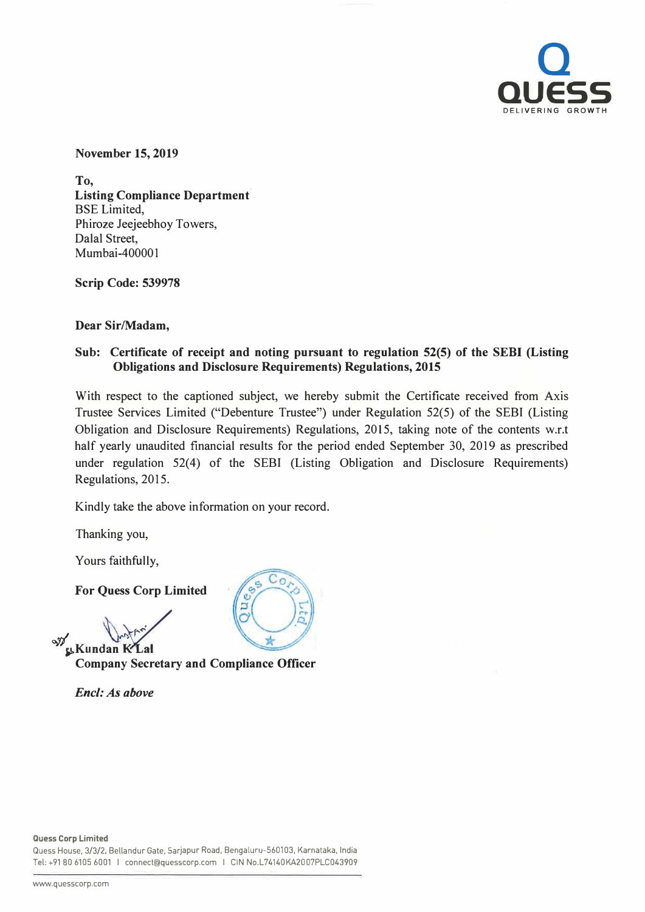

**November 15, 2019** 

**To, Listing Compliance Department**  BSE Limited, Phiroze Jeejeebhoy Towers, Dalal Street, Mumbai-400001

**Scrip Code: 539978** 

**Dear Sir/Madam,** 

## **Sub: Certificate of receipt and noting pursuant to regulation 52(5) of the SEBI (Listing Obligations and Disclosure Requirements) Regulations, 2015**

With respect to the captioned subject, we hereby submit the Certificate received from Axis Trustee Services Limited ("Debenture Trustee") under Regulation 52(5) of the SEBI (Listing Obligation and Disclosure Requirements) Regulations, 2015, taking note of the contents w.r.t half yearly unaudited financial results for the period ended September 30, 2019 as prescribed under regulation 52(4) of the SEBI (Listing Obligation and Disclosure Requirements) Regulations, 2015.

Kindly take the above information on your record.

Thanking you,

Yours faithfully,

**For Quess Corp Limited** 

**47 f,!>Kundan K:** ✓**Lal**

**Company Secretary and Compliance Officer** 

*Encl: As above* 



Quess House, 3/3/2, Bellandur Gate, Sarjapur Road, Bengaluru-560103, Karnataka, India Tel: +91 80 6105 6001 I connect@quesscorp.com I CIN No.L74140KA2007PLC043909